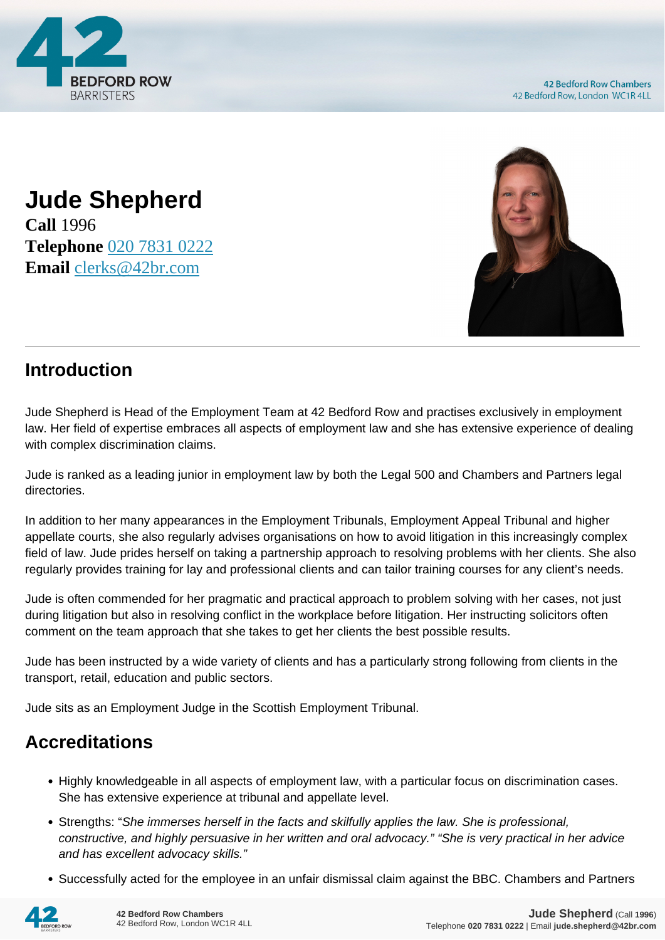

**Jude Shepherd Call** 1996 **Telephone** [020 7831 0222](https://pdf.codeshore.co/_42br/tel:020 7831 0222) **Email** [clerks@42br.com](mailto:clerks@42br.com)



## **Introduction**

Jude Shepherd is Head of the Employment Team at 42 Bedford Row and practises exclusively in employment law. Her field of expertise embraces all aspects of employment law and she has extensive experience of dealing with complex discrimination claims.

Jude is ranked as a leading junior in employment law by both the Legal 500 and Chambers and Partners legal directories.

In addition to her many appearances in the Employment Tribunals, Employment Appeal Tribunal and higher appellate courts, she also regularly advises organisations on how to avoid litigation in this increasingly complex field of law. Jude prides herself on taking a partnership approach to resolving problems with her clients. She also regularly provides training for lay and professional clients and can tailor training courses for any client's needs.

Jude is often commended for her pragmatic and practical approach to problem solving with her cases, not just during litigation but also in resolving conflict in the workplace before litigation. Her instructing solicitors often comment on the team approach that she takes to get her clients the best possible results.

Jude has been instructed by a wide variety of clients and has a particularly strong following from clients in the transport, retail, education and public sectors.

Jude sits as an Employment Judge in the Scottish Employment Tribunal.

## **Accreditations**

- Highly knowledgeable in all aspects of employment law, with a particular focus on discrimination cases. She has extensive experience at tribunal and appellate level.
- Strengths: "She immerses herself in the facts and skilfully applies the law. She is professional, constructive, and highly persuasive in her written and oral advocacy." "She is very practical in her advice and has excellent advocacy skills."
- Successfully acted for the employee in an unfair dismissal claim against the BBC. Chambers and Partners

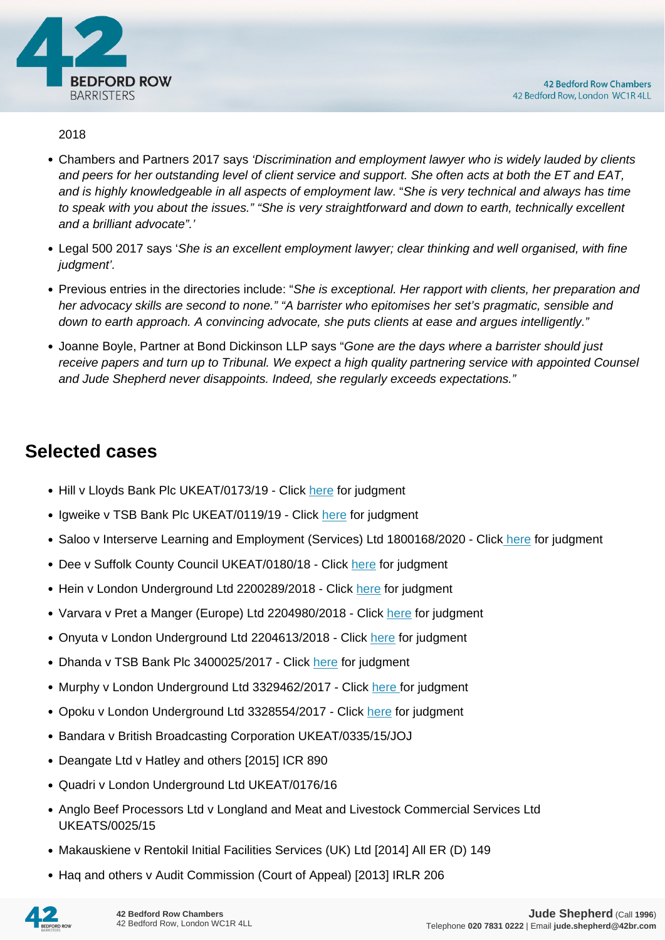

## 2018

- Chambers and Partners 2017 says 'Discrimination and employment lawyer who is widely lauded by clients and peers for her outstanding level of client service and support. She often acts at both the ET and EAT, and is highly knowledgeable in all aspects of employment law. "She is very technical and always has time to speak with you about the issues." "She is very straightforward and down to earth, technically excellent and a brilliant advocate".'
- Legal 500 2017 says 'She is an excellent employment lawyer; clear thinking and well organised, with fine judament'.
- Previous entries in the directories include: "She is exceptional. Her rapport with clients, her preparation and her advocacy skills are second to none." "A barrister who epitomises her set's pragmatic, sensible and down to earth approach. A convincing advocate, she puts clients at ease and argues intelligently."
- Joanne Boyle, Partner at Bond Dickinson LLP says "Gone are the days where a barrister should just receive papers and turn up to Tribunal. We expect a high quality partnering service with appointed Counsel and Jude Shepherd never disappoints. Indeed, she regularly exceeds expectations."

## **Selected cases**

- Hill v Lloyds Bank Plc UKEAT/0173/19 Click [here](https://assets.publishing.service.gov.uk/media/5efcc303d3bf7f768e27c64d/Mrs_S_Hill_v_Lloyds_Bank_Plc_UKEAT_0173_19_LA.pdf) for judgment
- Igweike v TSB Bank Plc UKEAT/0119/19 Click [here](https://assets.publishing.service.gov.uk/media/5dfb8340ed915d1f8e522435/Mr_I_Igweike_v_TSB_Bank_Plc_UKEAT_0119_19_BA.pdf) for judgment
- Saloo v Interserve Learning and Employment (Services) Ltd 1800168/2020 Click [here](https://assets.publishing.service.gov.uk/media/5f520c77e90e071eba9e2bcb/Mr_Y_Saloo_v_Interserve_Learning_and_Employment__Services__Ltd_-Reserved_1800168.2020.pdf) for judgment
- Dee v Suffolk County Council UKEAT/0180/18 Click [here](https://assets.publishing.service.gov.uk/media/5c90d209ed915d07a5c118ec/Mr_D_Dee_v_Suffolk_County_Council_UKEAT_0180___0181_18_BA.pdf) for judgment
- Hein v London Underground Ltd 2200289/2018 Click [here](https://assets.publishing.service.gov.uk/media/5e14a6dded915d3b11e78fee/Mr_H_Hein_-v-_London_Underground_Limited_-_Case_Number_2200289_2018_-_full.pdf) for judgment
- Varvara v Pret a Manger (Europe) Ltd 2204980/2018 Click [here](https://assets.publishing.service.gov.uk/media/5dd2b96440f0b606e40e81ab/Ms_R_Varvara__vs_Pret_a_Manger__Europe__Limited_-_Judgement.pdf) for judgment
- Onyuta v London Underground Ltd 2204613/2018 Click [here](https://assets.publishing.service.gov.uk/media/5dcd1265e5274a073d47b32a/Mr_N_Onyuta_-v-_London_Underground_Limited_-_Case_Number_2204613_2018_-_full.pdf) for judgment
- Dhanda v TSB Bank Plc 3400025/2017 Click [here](https://assets.publishing.service.gov.uk/media/5ae997a340f0b631578af0ff/Mrs_R_Dhanda_v_TSB_3400025_2017_Reserved_Full.pdf) for judgment
- Murphy v London Underground Ltd 3329462/2017 Click [here](https://assets.publishing.service.gov.uk/media/5cb5d22eed915d3f4a978ecf/Mr_J_Murphy_-v-_London_Underground_Limited__3329462-2017__Judgment.pdf) for judgment
- Opoku v London Underground Ltd 3328554/2017 Click [here](https://assets.publishing.service.gov.uk/media/5c9395dde5274a48f05ff722/Mr_Julian_Opoku_v_London_Underground_Limited___Other_-_3328554-2017.pdf) for judgment
- Bandara v British Broadcasting Corporation UKEAT/0335/15/JOJ
- Deangate Ltd v Hatley and others [2015] ICR 890
- Quadri v London Underground Ltd UKEAT/0176/16
- Anglo Beef Processors Ltd v Longland and Meat and Livestock Commercial Services Ltd UKEATS/0025/15
- Makauskiene v Rentokil Initial Facilities Services (UK) Ltd [2014] All ER (D) 149
- Haq and others v Audit Commission (Court of Appeal) [2013] IRLR 206